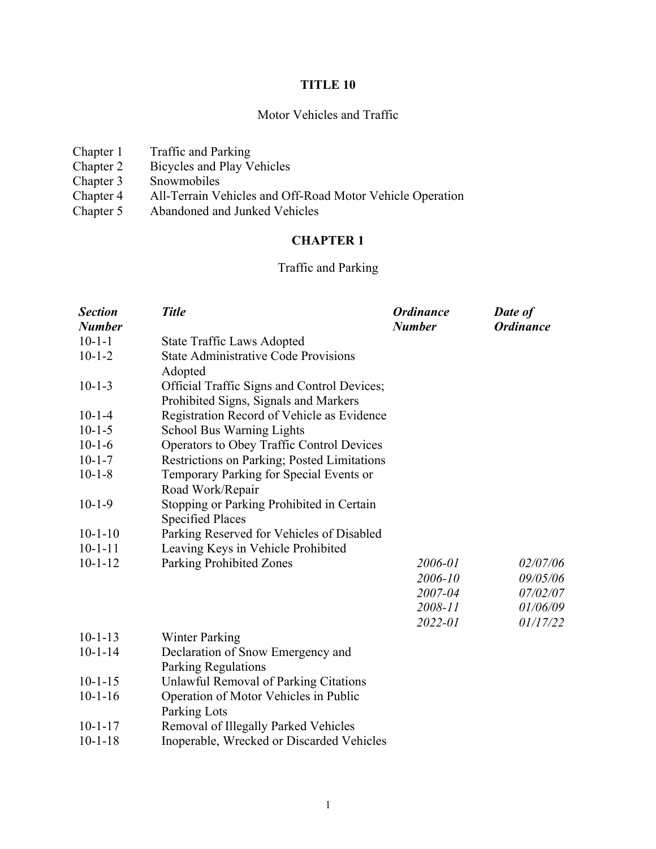# **TITLE 10**

# Motor Vehicles and Traffic

| Chapter 1 | Traffic and Parking                                       |
|-----------|-----------------------------------------------------------|
| Chapter 2 | Bicycles and Play Vehicles                                |
| Chapter 3 | Snowmobiles                                               |
| Chapter 4 | All-Terrain Vehicles and Off-Road Motor Vehicle Operation |
| Chapter 5 | Abandoned and Junked Vehicles                             |
|           |                                                           |

# **CHAPTER 1**

# Traffic and Parking

| <b>Section</b> | <b>Title</b>                                | <b>Ordinance</b> | Date of          |
|----------------|---------------------------------------------|------------------|------------------|
| <b>Number</b>  |                                             | <b>Number</b>    | <b>Ordinance</b> |
| $10 - 1 - 1$   | <b>State Traffic Laws Adopted</b>           |                  |                  |
| $10 - 1 - 2$   | <b>State Administrative Code Provisions</b> |                  |                  |
|                | Adopted                                     |                  |                  |
| $10 - 1 - 3$   | Official Traffic Signs and Control Devices; |                  |                  |
|                | Prohibited Signs, Signals and Markers       |                  |                  |
| $10 - 1 - 4$   | Registration Record of Vehicle as Evidence  |                  |                  |
| $10 - 1 - 5$   | <b>School Bus Warning Lights</b>            |                  |                  |
| $10 - 1 - 6$   | Operators to Obey Traffic Control Devices   |                  |                  |
| $10 - 1 - 7$   | Restrictions on Parking; Posted Limitations |                  |                  |
| $10 - 1 - 8$   | Temporary Parking for Special Events or     |                  |                  |
|                | Road Work/Repair                            |                  |                  |
| $10-1-9$       | Stopping or Parking Prohibited in Certain   |                  |                  |
|                | <b>Specified Places</b>                     |                  |                  |
| $10-1-10$      | Parking Reserved for Vehicles of Disabled   |                  |                  |
| $10 - 1 - 11$  | Leaving Keys in Vehicle Prohibited          |                  |                  |
| $10 - 1 - 12$  | Parking Prohibited Zones                    | 2006-01          | 02/07/06         |
|                |                                             | 2006-10          | 09/05/06         |
|                |                                             | 2007-04          | 07/02/07         |
|                |                                             | 2008-11          | 01/06/09         |
|                |                                             | 2022-01          | 01/17/22         |
| $10 - 1 - 13$  | <b>Winter Parking</b>                       |                  |                  |
| $10 - 1 - 14$  | Declaration of Snow Emergency and           |                  |                  |
|                | Parking Regulations                         |                  |                  |
| $10 - 1 - 15$  | Unlawful Removal of Parking Citations       |                  |                  |
| $10 - 1 - 16$  | Operation of Motor Vehicles in Public       |                  |                  |
|                | Parking Lots                                |                  |                  |
| $10 - 1 - 17$  | Removal of Illegally Parked Vehicles        |                  |                  |
| $10 - 1 - 18$  | Inoperable, Wrecked or Discarded Vehicles   |                  |                  |
|                |                                             |                  |                  |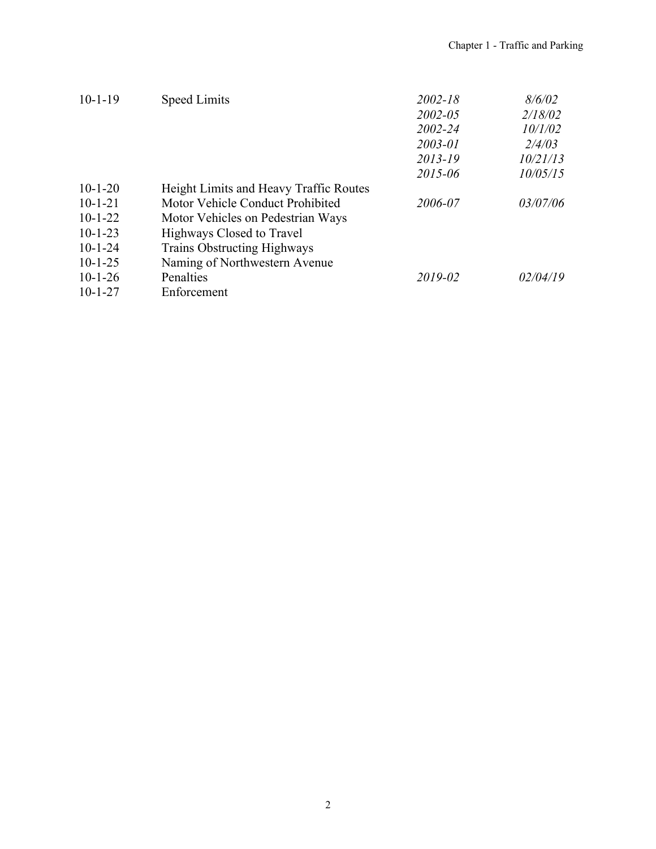| $10-1-19$     | <b>Speed Limits</b>                    | $2002 - 18$ | 8/6/02   |
|---------------|----------------------------------------|-------------|----------|
|               |                                        | $2002 - 05$ | 2/18/02  |
|               |                                        | 2002-24     | 10/1/02  |
|               |                                        | 2003-01     | 2/4/03   |
|               |                                        | 2013-19     | 10/21/13 |
|               |                                        | 2015-06     | 10/05/15 |
| $10-1-20$     | Height Limits and Heavy Traffic Routes |             |          |
| $10 - 1 - 21$ | Motor Vehicle Conduct Prohibited       | 2006-07     | 03/07/06 |
| $10-1-22$     | Motor Vehicles on Pedestrian Ways      |             |          |
| $10 - 1 - 23$ | Highways Closed to Travel              |             |          |
| $10 - 1 - 24$ | <b>Trains Obstructing Highways</b>     |             |          |
| $10-1-25$     | Naming of Northwestern Avenue          |             |          |
| $10-1-26$     | Penalties                              | 2019-02     | 02/04/19 |
| $10 - 1 - 27$ | Enforcement                            |             |          |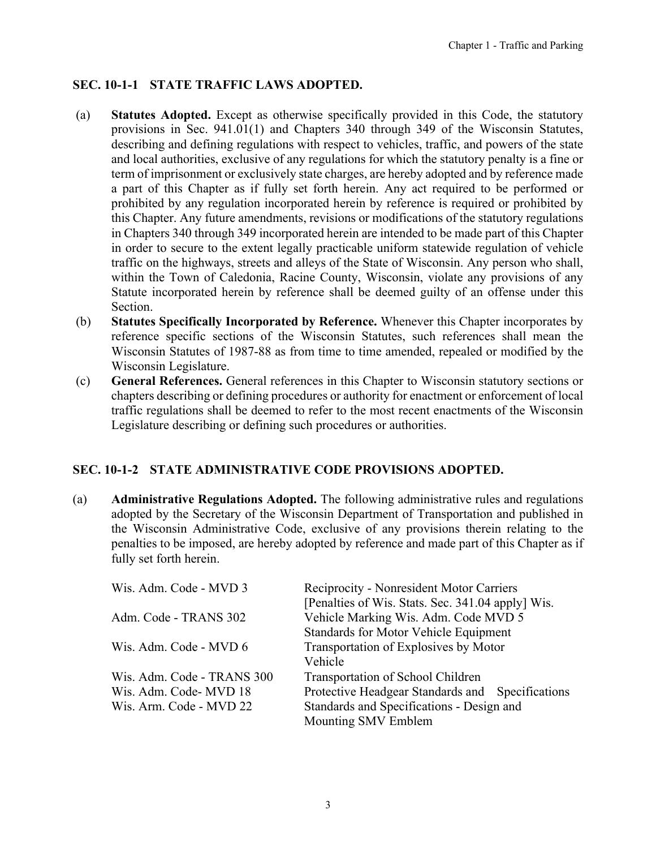# <span id="page-2-0"></span>**SEC. 10-1-1 STATE TRAFFIC LAWS ADOPTED.**

- (a) **Statutes Adopted.** Except as otherwise specifically provided in this Code, the statutory provisions in Sec. 941.01(1) and Chapters 340 through 349 of the Wisconsin Statutes, describing and defining regulations with respect to vehicles, traffic, and powers of the state and local authorities, exclusive of any regulations for which the statutory penalty is a fine or term of imprisonment or exclusively state charges, are hereby adopted and by reference made a part of this Chapter as if fully set forth herein. Any act required to be performed or prohibited by any regulation incorporated herein by reference is required or prohibited by this Chapter. Any future amendments, revisions or modifications of the statutory regulations in Chapters 340 through 349 incorporated herein are intended to be made part of this Chapter in order to secure to the extent legally practicable uniform statewide regulation of vehicle traffic on the highways, streets and alleys of the State of Wisconsin. Any person who shall, within the Town of Caledonia, Racine County, Wisconsin, violate any provisions of any Statute incorporated herein by reference shall be deemed guilty of an offense under this Section.
- (b) **Statutes Specifically Incorporated by Reference.** Whenever this Chapter incorporates by reference specific sections of the Wisconsin Statutes, such references shall mean the Wisconsin Statutes of 1987-88 as from time to time amended, repealed or modified by the Wisconsin Legislature.
- (c) **General References.** General references in this Chapter to Wisconsin statutory sections or chapters describing or defining procedures or authority for enactment or enforcement of local traffic regulations shall be deemed to refer to the most recent enactments of the Wisconsin Legislature describing or defining such procedures or authorities.

#### **SEC. 10-1-2 STATE ADMINISTRATIVE CODE PROVISIONS ADOPTED.**

(a) **Administrative Regulations Adopted.** The following administrative rules and regulations adopted by the Secretary of the Wisconsin Department of Transportation and published in the Wisconsin Administrative Code, exclusive of any provisions therein relating to the penalties to be imposed, are hereby adopted by reference and made part of this Chapter as if fully set forth herein.

| Wis. Adm. Code - MVD 3     | Reciprocity - Nonresident Motor Carriers          |
|----------------------------|---------------------------------------------------|
|                            | [Penalties of Wis. Stats. Sec. 341.04 apply] Wis. |
| Adm. Code - TRANS 302      | Vehicle Marking Wis. Adm. Code MVD 5              |
|                            | Standards for Motor Vehicle Equipment             |
| Wis. Adm. Code - MVD 6     | Transportation of Explosives by Motor             |
|                            | Vehicle                                           |
| Wis. Adm. Code - TRANS 300 | Transportation of School Children                 |
| Wis. Adm. Code- MVD 18     | Protective Headgear Standards and Specifications  |
| Wis. Arm. Code - MVD 22    | Standards and Specifications - Design and         |
|                            | Mounting SMV Emblem                               |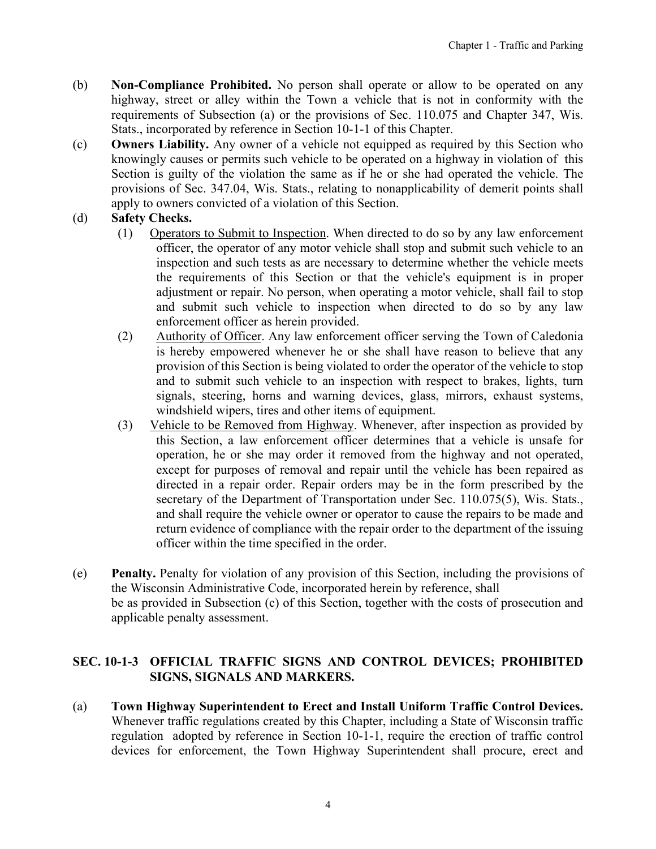- (b) **Non-Compliance Prohibited.** No person shall operate or allow to be operated on any highway, street or alley within the Town a vehicle that is not in conformity with the requirements of Subsection (a) or the provisions of Sec. 110.075 and Chapter 347, Wis. Stats., incorporated by reference in Section 10-1-1 of this Chapter.
- (c) **Owners Liability.** Any owner of a vehicle not equipped as required by this Section who knowingly causes or permits such vehicle to be operated on a highway in violation of this Section is guilty of the violation the same as if he or she had operated the vehicle. The provisions of Sec. 347.04, Wis. Stats., relating to nonapplicability of demerit points shall apply to owners convicted of a violation of this Section.

# (d) **Safety Checks.**

- (1) Operators to Submit to Inspection. When directed to do so by any law enforcement officer, the operator of any motor vehicle shall stop and submit such vehicle to an inspection and such tests as are necessary to determine whether the vehicle meets the requirements of this Section or that the vehicle's equipment is in proper adjustment or repair. No person, when operating a motor vehicle, shall fail to stop and submit such vehicle to inspection when directed to do so by any law enforcement officer as herein provided.
- (2) Authority of Officer. Any law enforcement officer serving the Town of Caledonia is hereby empowered whenever he or she shall have reason to believe that any provision of this Section is being violated to order the operator of the vehicle to stop and to submit such vehicle to an inspection with respect to brakes, lights, turn signals, steering, horns and warning devices, glass, mirrors, exhaust systems, windshield wipers, tires and other items of equipment.
- (3) Vehicle to be Removed from Highway. Whenever, after inspection as provided by this Section, a law enforcement officer determines that a vehicle is unsafe for operation, he or she may order it removed from the highway and not operated, except for purposes of removal and repair until the vehicle has been repaired as directed in a repair order. Repair orders may be in the form prescribed by the secretary of the Department of Transportation under Sec. 110.075(5), Wis. Stats., and shall require the vehicle owner or operator to cause the repairs to be made and return evidence of compliance with the repair order to the department of the issuing officer within the time specified in the order.
- (e) **Penalty.** Penalty for violation of any provision of this Section, including the provisions of the Wisconsin Administrative Code, incorporated herein by reference, shall be as provided in Subsection (c) of this Section, together with the costs of prosecution and applicable penalty assessment.

#### **SEC. 10-1-3 OFFICIAL TRAFFIC SIGNS AND CONTROL DEVICES; PROHIBITED SIGNS, SIGNALS AND MARKERS.**

(a) **Town Highway Superintendent to Erect and Install Uniform Traffic Control Devices.** Whenever traffic regulations created by this Chapter, including a State of Wisconsin traffic regulation adopted by reference in Section 10-1-1, require the erection of traffic control devices for enforcement, the Town Highway Superintendent shall procure, erect and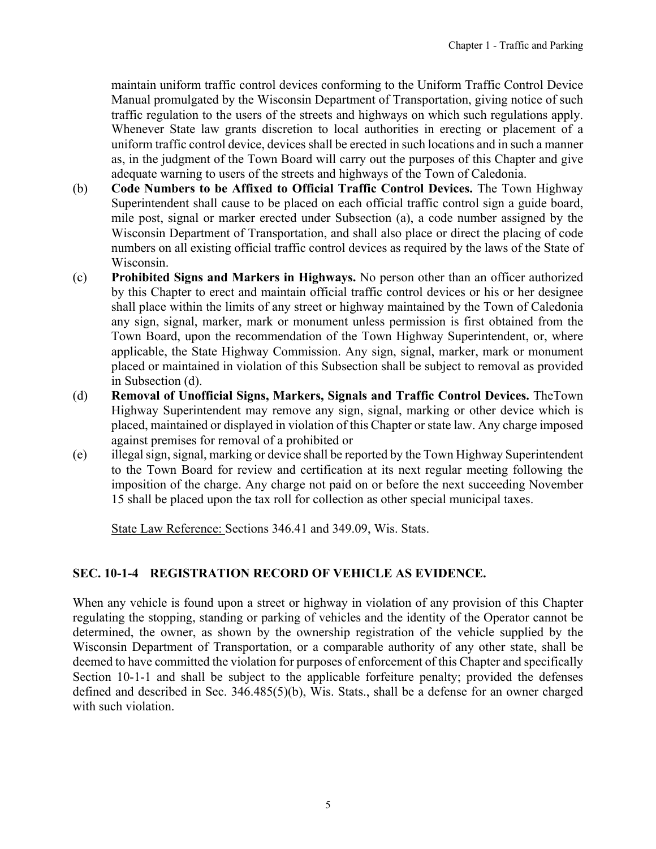<span id="page-4-0"></span>maintain uniform traffic control devices conforming to the Uniform Traffic Control Device Manual promulgated by the Wisconsin Department of Transportation, giving notice of such traffic regulation to the users of the streets and highways on which such regulations apply. Whenever State law grants discretion to local authorities in erecting or placement of a uniform traffic control device, devices shall be erected in such locations and in such a manner as, in the judgment of the Town Board will carry out the purposes of this Chapter and give adequate warning to users of the streets and highways of the Town of Caledonia.

- (b) **Code Numbers to be Affixed to Official Traffic Control Devices.** The Town Highway Superintendent shall cause to be placed on each official traffic control sign a guide board, mile post, signal or marker erected under Subsection (a), a code number assigned by the Wisconsin Department of Transportation, and shall also place or direct the placing of code numbers on all existing official traffic control devices as required by the laws of the State of Wisconsin.
- (c) **Prohibited Signs and Markers in Highways.** No person other than an officer authorized by this Chapter to erect and maintain official traffic control devices or his or her designee shall place within the limits of any street or highway maintained by the Town of Caledonia any sign, signal, marker, mark or monument unless permission is first obtained from the Town Board, upon the recommendation of the Town Highway Superintendent, or, where applicable, the State Highway Commission. Any sign, signal, marker, mark or monument placed or maintained in violation of this Subsection shall be subject to removal as provided in Subsection (d).
- (d) **Removal of Unofficial Signs, Markers, Signals and Traffic Control Devices.** TheTown Highway Superintendent may remove any sign, signal, marking or other device which is placed, maintained or displayed in violation of this Chapter or state law. Any charge imposed against premises for removal of a prohibited or
- (e) illegal sign, signal, marking or device shall be reported by the Town Highway Superintendent to the Town Board for review and certification at its next regular meeting following the imposition of the charge. Any charge not paid on or before the next succeeding November 15 shall be placed upon the tax roll for collection as other special municipal taxes.

State Law Reference: Sections 346.41 and 349.09, Wis. Stats.

# **SEC. 10-1-4 REGISTRATION RECORD OF VEHICLE AS EVIDENCE.**

When any vehicle is found upon a street or highway in violation of any provision of this Chapter regulating the stopping, standing or parking of vehicles and the identity of the Operator cannot be determined, the owner, as shown by the ownership registration of the vehicle supplied by the Wisconsin Department of Transportation, or a comparable authority of any other state, shall be deemed to have committed the violation for purposes of enforcement of this Chapter and specifically Section 10-1-1 and shall be subject to the applicable forfeiture penalty; provided the defenses defined and described in Sec. 346.485(5)(b), Wis. Stats., shall be a defense for an owner charged with such violation.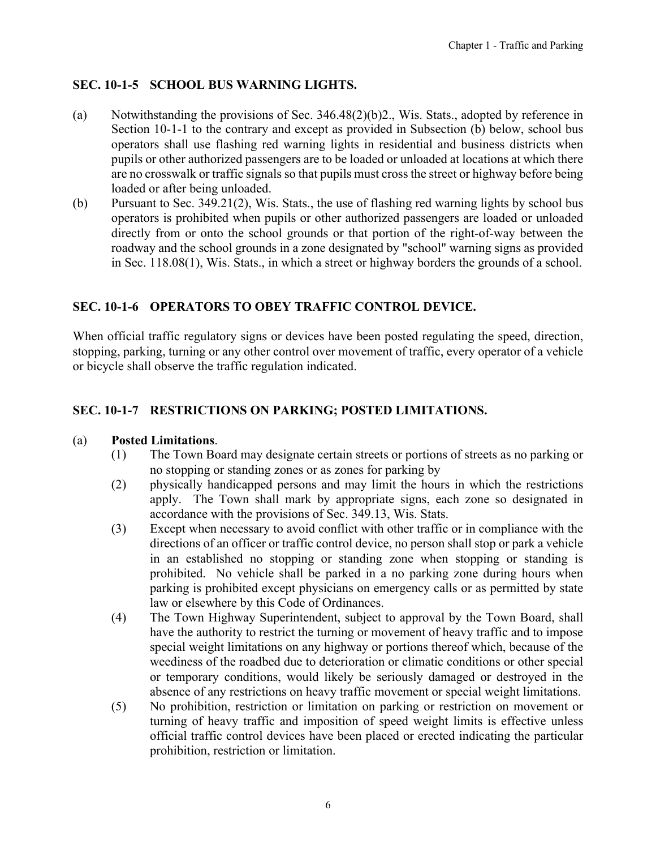# <span id="page-5-0"></span>**SEC. 10-1-5 SCHOOL BUS WARNING LIGHTS.**

- (a) Notwithstanding the provisions of Sec. 346.48(2)(b)2., Wis. Stats., adopted by reference in Section 10-1-1 to the contrary and except as provided in Subsection (b) below, school bus operators shall use flashing red warning lights in residential and business districts when pupils or other authorized passengers are to be loaded or unloaded at locations at which there are no crosswalk or traffic signals so that pupils must cross the street or highway before being loaded or after being unloaded.
- (b) Pursuant to Sec. 349.21(2), Wis. Stats., the use of flashing red warning lights by school bus operators is prohibited when pupils or other authorized passengers are loaded or unloaded directly from or onto the school grounds or that portion of the right-of-way between the roadway and the school grounds in a zone designated by "school" warning signs as provided in Sec. 118.08(1), Wis. Stats., in which a street or highway borders the grounds of a school.

# **SEC. 10-1-6 OPERATORS TO OBEY TRAFFIC CONTROL DEVICE.**

When official traffic regulatory signs or devices have been posted regulating the speed, direction, stopping, parking, turning or any other control over movement of traffic, every operator of a vehicle or bicycle shall observe the traffic regulation indicated.

# **SEC. 10-1-7 RESTRICTIONS ON PARKING; POSTED LIMITATIONS.**

#### (a) **Posted Limitations**.

- (1) The Town Board may designate certain streets or portions of streets as no parking or no stopping or standing zones or as zones for parking by
- (2) physically handicapped persons and may limit the hours in which the restrictions apply. The Town shall mark by appropriate signs, each zone so designated in accordance with the provisions of Sec. 349.13, Wis. Stats.
- (3) Except when necessary to avoid conflict with other traffic or in compliance with the directions of an officer or traffic control device, no person shall stop or park a vehicle in an established no stopping or standing zone when stopping or standing is prohibited. No vehicle shall be parked in a no parking zone during hours when parking is prohibited except physicians on emergency calls or as permitted by state law or elsewhere by this Code of Ordinances.
- (4) The Town Highway Superintendent, subject to approval by the Town Board, shall have the authority to restrict the turning or movement of heavy traffic and to impose special weight limitations on any highway or portions thereof which, because of the weediness of the roadbed due to deterioration or climatic conditions or other special or temporary conditions, would likely be seriously damaged or destroyed in the absence of any restrictions on heavy traffic movement or special weight limitations.
- (5) No prohibition, restriction or limitation on parking or restriction on movement or turning of heavy traffic and imposition of speed weight limits is effective unless official traffic control devices have been placed or erected indicating the particular prohibition, restriction or limitation.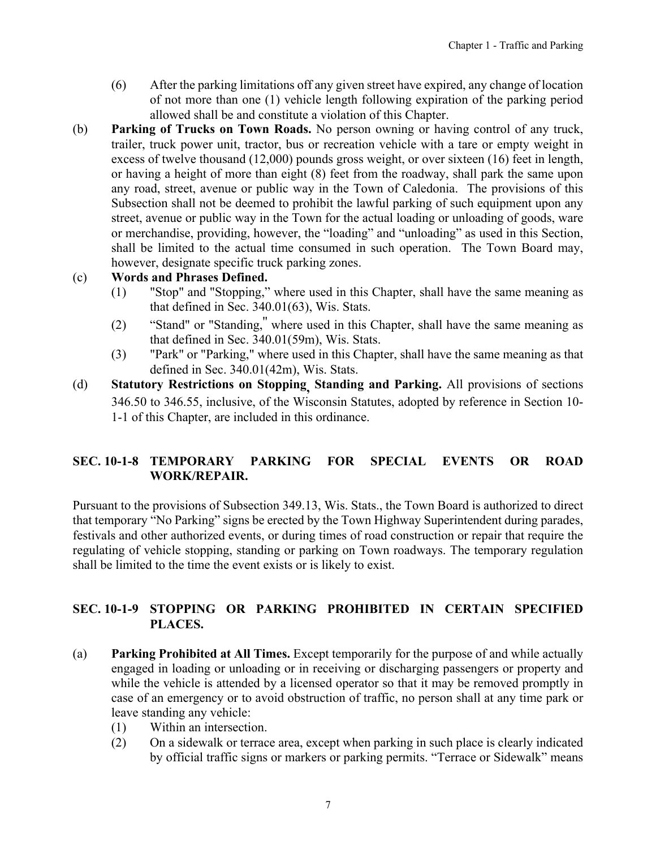- <span id="page-6-0"></span>(6) After the parking limitations off any given street have expired, any change of location of not more than one (1) vehicle length following expiration of the parking period allowed shall be and constitute a violation of this Chapter.
- (b) **Parking of Trucks on Town Roads.** No person owning or having control of any truck, trailer, truck power unit, tractor, bus or recreation vehicle with a tare or empty weight in excess of twelve thousand (12,000) pounds gross weight, or over sixteen (16) feet in length, or having a height of more than eight (8) feet from the roadway, shall park the same upon any road, street, avenue or public way in the Town of Caledonia. The provisions of this Subsection shall not be deemed to prohibit the lawful parking of such equipment upon any street, avenue or public way in the Town for the actual loading or unloading of goods, ware or merchandise, providing, however, the "loading" and "unloading" as used in this Section, shall be limited to the actual time consumed in such operation. The Town Board may, however, designate specific truck parking zones.

#### (c) **Words and Phrases Defined.**

- (1) "Stop" and "Stopping," where used in this Chapter, shall have the same meaning as that defined in Sec. 340.01(63), Wis. Stats.
- (2) "Stand" or "Standing,'' where used in this Chapter, shall have the same meaning as that defined in Sec. 340.01(59m), Wis. Stats.
- (3) "Park" or "Parking," where used in this Chapter, shall have the same meaning as that defined in Sec. 340.01(42m), Wis. Stats.
- (d) **Statutory Restrictions on Stopping, Standing and Parking.** All provisions of sections 346.50 to 346.55, inclusive, of the Wisconsin Statutes, adopted by reference in Section 10- 1-1 of this Chapter, are included in this ordinance.

# **SEC. 10-1-8 TEMPORARY PARKING FOR SPECIAL EVENTS OR ROAD WORK/REPAIR.**

Pursuant to the provisions of Subsection 349.13, Wis. Stats., the Town Board is authorized to direct that temporary "No Parking" signs be erected by the Town Highway Superintendent during parades, festivals and other authorized events, or during times of road construction or repair that require the regulating of vehicle stopping, standing or parking on Town roadways. The temporary regulation shall be limited to the time the event exists or is likely to exist.

#### **SEC. 10-1-9 STOPPING OR PARKING PROHIBITED IN CERTAIN SPECIFIED PLACES.**

- (a) **Parking Prohibited at All Times.** Except temporarily for the purpose of and while actually engaged in loading or unloading or in receiving or discharging passengers or property and while the vehicle is attended by a licensed operator so that it may be removed promptly in case of an emergency or to avoid obstruction of traffic, no person shall at any time park or leave standing any vehicle:
	- (1) Within an intersection.
	- (2) On a sidewalk or terrace area, except when parking in such place is clearly indicated by official traffic signs or markers or parking permits. "Terrace or Sidewalk" means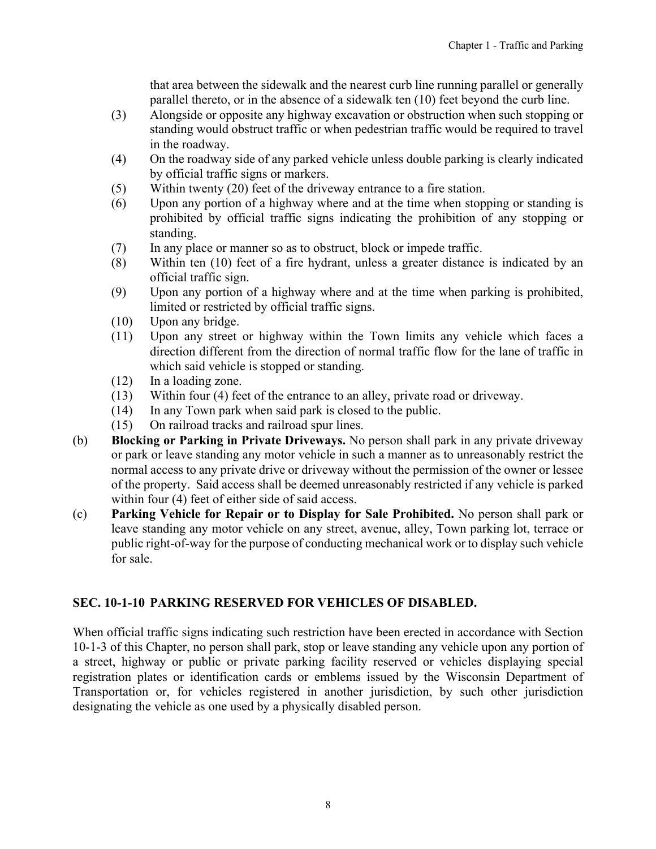that area between the sidewalk and the nearest curb line running parallel or generally parallel thereto, or in the absence of a sidewalk ten (10) feet beyond the curb line.

- (3) Alongside or opposite any highway excavation or obstruction when such stopping or standing would obstruct traffic or when pedestrian traffic would be required to travel in the roadway.
- (4) On the roadway side of any parked vehicle unless double parking is clearly indicated by official traffic signs or markers.
- (5) Within twenty (20) feet of the driveway entrance to a fire station.
- (6) Upon any portion of a highway where and at the time when stopping or standing is prohibited by official traffic signs indicating the prohibition of any stopping or standing.
- (7) In any place or manner so as to obstruct, block or impede traffic.
- (8) Within ten (10) feet of a fire hydrant, unless a greater distance is indicated by an official traffic sign.
- (9) Upon any portion of a highway where and at the time when parking is prohibited, limited or restricted by official traffic signs.
- (10) Upon any bridge.
- (11) Upon any street or highway within the Town limits any vehicle which faces a direction different from the direction of normal traffic flow for the lane of traffic in which said vehicle is stopped or standing.
- (12) In a loading zone.
- (13) Within four (4) feet of the entrance to an alley, private road or driveway.
- (14) In any Town park when said park is closed to the public.
- (15) On railroad tracks and railroad spur lines.
- (b) **Blocking or Parking in Private Driveways.** No person shall park in any private driveway or park or leave standing any motor vehicle in such a manner as to unreasonably restrict the normal access to any private drive or driveway without the permission of the owner or lessee of the property. Said access shall be deemed unreasonably restricted if any vehicle is parked within four (4) feet of either side of said access.
- (c) **Parking Vehicle for Repair or to Display for Sale Prohibited.** No person shall park or leave standing any motor vehicle on any street, avenue, alley, Town parking lot, terrace or public right-of-way for the purpose of conducting mechanical work or to display such vehicle for sale.

#### **SEC. 10-1-10 PARKING RESERVED FOR VEHICLES OF DISABLED.**

When official traffic signs indicating such restriction have been erected in accordance with Section 10-1-3 of this Chapter, no person shall park, stop or leave standing any vehicle upon any portion of a street, highway or public or private parking facility reserved or vehicles displaying special registration plates or identification cards or emblems issued by the Wisconsin Department of Transportation or, for vehicles registered in another jurisdiction, by such other jurisdiction designating the vehicle as one used by a physically disabled person.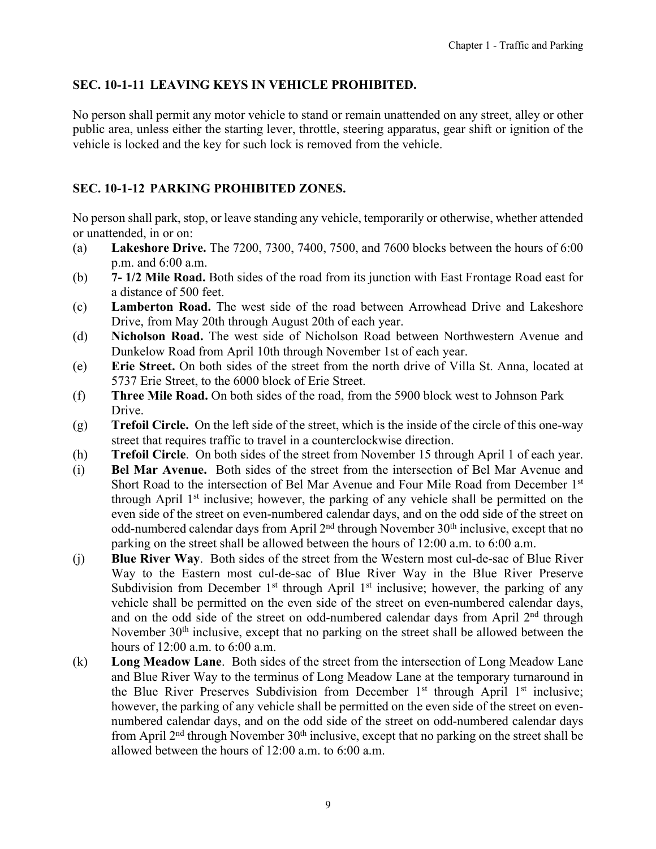# <span id="page-8-0"></span>**SEC. 10-1-11 LEAVING KEYS IN VEHICLE PROHIBITED.**

No person shall permit any motor vehicle to stand or remain unattended on any street, alley or other public area, unless either the starting lever, throttle, steering apparatus, gear shift or ignition of the vehicle is locked and the key for such lock is removed from the vehicle.

# **SEC. 10-1-12 PARKING PROHIBITED ZONES.**

No person shall park, stop, or leave standing any vehicle, temporarily or otherwise, whether attended or unattended, in or on:

- (a) **Lakeshore Drive.** The 7200, 7300, 7400, 7500, and 7600 blocks between the hours of 6:00 p.m. and 6:00 a.m.
- (b) **7- 1/2 Mile Road.** Both sides of the road from its junction with East Frontage Road east for a distance of 500 feet.
- (c) **Lamberton Road.** The west side of the road between Arrowhead Drive and Lakeshore Drive, from May 20th through August 20th of each year.
- (d) **Nicholson Road.** The west side of Nicholson Road between Northwestern Avenue and Dunkelow Road from April 10th through November 1st of each year.
- (e) **Erie Street.** On both sides of the street from the north drive of Villa St. Anna, located at 5737 Erie Street, to the 6000 block of Erie Street.
- (f) **Three Mile Road.** On both sides of the road, from the 5900 block west to Johnson Park Drive.
- (g) **Trefoil Circle.** On the left side of the street, which is the inside of the circle of this one-way street that requires traffic to travel in a counterclockwise direction.
- (h) **Trefoil Circle**. On both sides of the street from November 15 through April 1 of each year.
- (i) **Bel Mar Avenue.** Both sides of the street from the intersection of Bel Mar Avenue and Short Road to the intersection of Bel Mar Avenue and Four Mile Road from December 1st through April 1<sup>st</sup> inclusive; however, the parking of any vehicle shall be permitted on the even side of the street on even-numbered calendar days, and on the odd side of the street on odd-numbered calendar days from April  $2<sup>nd</sup>$  through November 30<sup>th</sup> inclusive, except that no parking on the street shall be allowed between the hours of 12:00 a.m. to 6:00 a.m.
- (j) **Blue River Way**. Both sides of the street from the Western most cul-de-sac of Blue River Way to the Eastern most cul-de-sac of Blue River Way in the Blue River Preserve Subdivision from December 1<sup>st</sup> through April 1<sup>st</sup> inclusive; however, the parking of any vehicle shall be permitted on the even side of the street on even-numbered calendar days, and on the odd side of the street on odd-numbered calendar days from April  $2<sup>nd</sup>$  through November 30<sup>th</sup> inclusive, except that no parking on the street shall be allowed between the hours of 12:00 a.m. to 6:00 a.m.
- (k) **Long Meadow Lane**. Both sides of the street from the intersection of Long Meadow Lane and Blue River Way to the terminus of Long Meadow Lane at the temporary turnaround in the Blue River Preserves Subdivision from December  $1<sup>st</sup>$  through April  $1<sup>st</sup>$  inclusive; however, the parking of any vehicle shall be permitted on the even side of the street on evennumbered calendar days, and on the odd side of the street on odd-numbered calendar days from April 2<sup>nd</sup> through November 30<sup>th</sup> inclusive, except that no parking on the street shall be allowed between the hours of 12:00 a.m. to 6:00 a.m.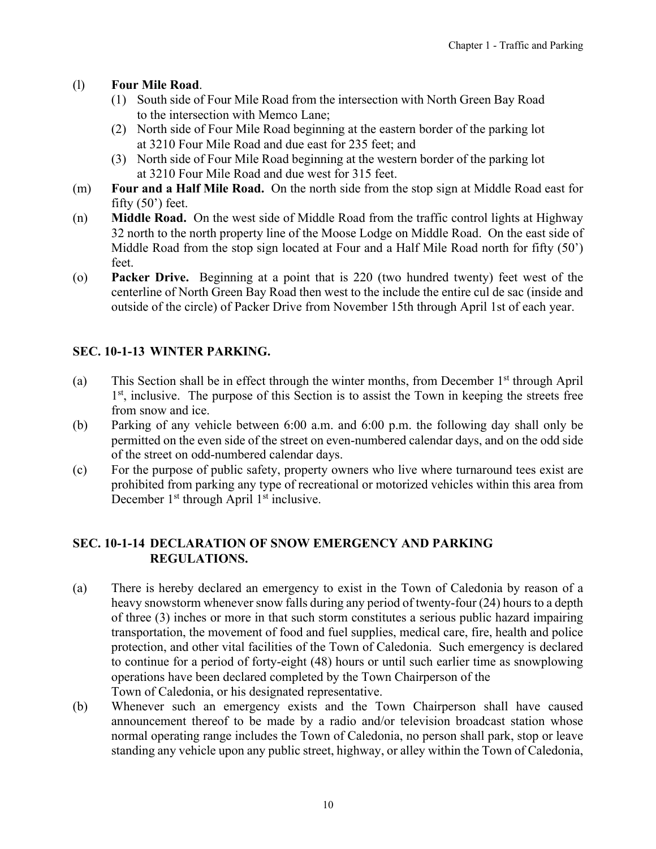## <span id="page-9-0"></span>(l) **Four Mile Road**.

- (1) South side of Four Mile Road from the intersection with North Green Bay Road to the intersection with Memco Lane;
- (2) North side of Four Mile Road beginning at the eastern border of the parking lot at 3210 Four Mile Road and due east for 235 feet; and
- (3) North side of Four Mile Road beginning at the western border of the parking lot at 3210 Four Mile Road and due west for 315 feet.
- (m) **Four and a Half Mile Road.** On the north side from the stop sign at Middle Road east for fifty  $(50)$  feet.
- (n) **Middle Road.** On the west side of Middle Road from the traffic control lights at Highway 32 north to the north property line of the Moose Lodge on Middle Road. On the east side of Middle Road from the stop sign located at Four and a Half Mile Road north for fifty (50') feet.
- (o) **Packer Drive.** Beginning at a point that is 220 (two hundred twenty) feet west of the centerline of North Green Bay Road then west to the include the entire cul de sac (inside and outside of the circle) of Packer Drive from November 15th through April 1st of each year.

# **SEC. 10-1-13 WINTER PARKING.**

- (a) This Section shall be in effect through the winter months, from December  $1<sup>st</sup>$  through April 1<sup>st</sup>, inclusive. The purpose of this Section is to assist the Town in keeping the streets free from snow and ice.
- (b) Parking of any vehicle between 6:00 a.m. and 6:00 p.m. the following day shall only be permitted on the even side of the street on even-numbered calendar days, and on the odd side of the street on odd-numbered calendar days.
- (c) For the purpose of public safety, property owners who live where turnaround tees exist are prohibited from parking any type of recreational or motorized vehicles within this area from December  $1<sup>st</sup>$  through April  $1<sup>st</sup>$  inclusive.

# **SEC. 10-1-14 DECLARATION OF SNOW EMERGENCY AND PARKING REGULATIONS.**

- (a) There is hereby declared an emergency to exist in the Town of Caledonia by reason of a heavy snowstorm whenever snow falls during any period of twenty-four (24) hours to a depth of three (3) inches or more in that such storm constitutes a serious public hazard impairing transportation, the movement of food and fuel supplies, medical care, fire, health and police protection, and other vital facilities of the Town of Caledonia. Such emergency is declared to continue for a period of forty-eight (48) hours or until such earlier time as snowplowing operations have been declared completed by the Town Chairperson of the Town of Caledonia, or his designated representative.
- (b) Whenever such an emergency exists and the Town Chairperson shall have caused announcement thereof to be made by a radio and/or television broadcast station whose normal operating range includes the Town of Caledonia, no person shall park, stop or leave standing any vehicle upon any public street, highway, or alley within the Town of Caledonia,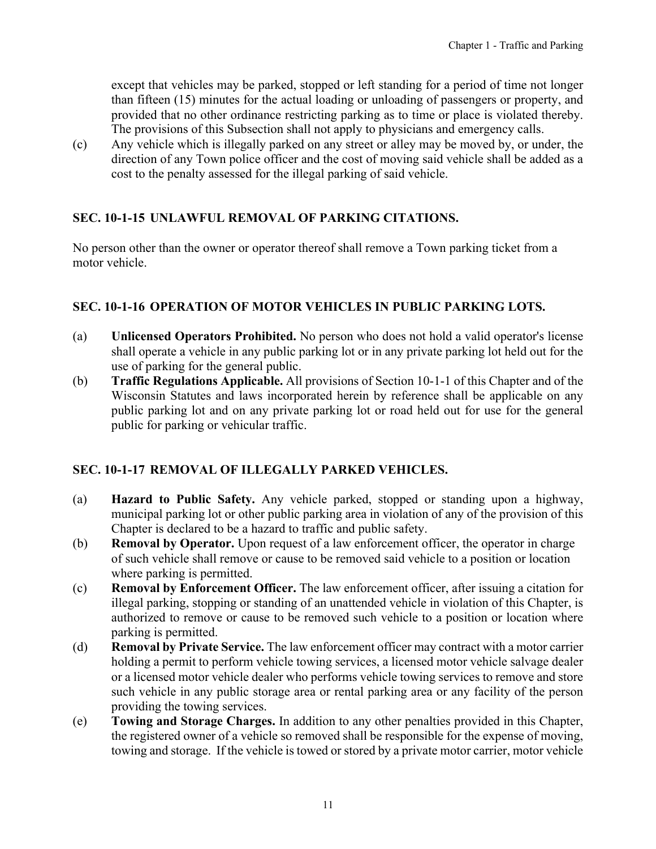<span id="page-10-0"></span>except that vehicles may be parked, stopped or left standing for a period of time not longer than fifteen (15) minutes for the actual loading or unloading of passengers or property, and provided that no other ordinance restricting parking as to time or place is violated thereby. The provisions of this Subsection shall not apply to physicians and emergency calls.

(c) Any vehicle which is illegally parked on any street or alley may be moved by, or under, the direction of any Town police officer and the cost of moving said vehicle shall be added as a cost to the penalty assessed for the illegal parking of said vehicle.

# **SEC. 10-1-15 UNLAWFUL REMOVAL OF PARKING CITATIONS.**

No person other than the owner or operator thereof shall remove a Town parking ticket from a motor vehicle.

# **SEC. 10-1-16 OPERATION OF MOTOR VEHICLES IN PUBLIC PARKING LOTS.**

- (a) **Unlicensed Operators Prohibited.** No person who does not hold a valid operator's license shall operate a vehicle in any public parking lot or in any private parking lot held out for the use of parking for the general public.
- (b) **Traffic Regulations Applicable.** All provisions of Section 10-1-1 of this Chapter and of the Wisconsin Statutes and laws incorporated herein by reference shall be applicable on any public parking lot and on any private parking lot or road held out for use for the general public for parking or vehicular traffic.

#### **SEC. 10-1-17 REMOVAL OF ILLEGALLY PARKED VEHICLES.**

- (a) **Hazard to Public Safety.** Any vehicle parked, stopped or standing upon a highway, municipal parking lot or other public parking area in violation of any of the provision of this Chapter is declared to be a hazard to traffic and public safety.
- (b) **Removal by Operator.** Upon request of a law enforcement officer, the operator in charge of such vehicle shall remove or cause to be removed said vehicle to a position or location where parking is permitted.
- (c) **Removal by Enforcement Officer.** The law enforcement officer, after issuing a citation for illegal parking, stopping or standing of an unattended vehicle in violation of this Chapter, is authorized to remove or cause to be removed such vehicle to a position or location where parking is permitted.
- (d) **Removal by Private Service.** The law enforcement officer may contract with a motor carrier holding a permit to perform vehicle towing services, a licensed motor vehicle salvage dealer or a licensed motor vehicle dealer who performs vehicle towing services to remove and store such vehicle in any public storage area or rental parking area or any facility of the person providing the towing services.
- (e) **Towing and Storage Charges.** In addition to any other penalties provided in this Chapter, the registered owner of a vehicle so removed shall be responsible for the expense of moving, towing and storage. If the vehicle is towed or stored by a private motor carrier, motor vehicle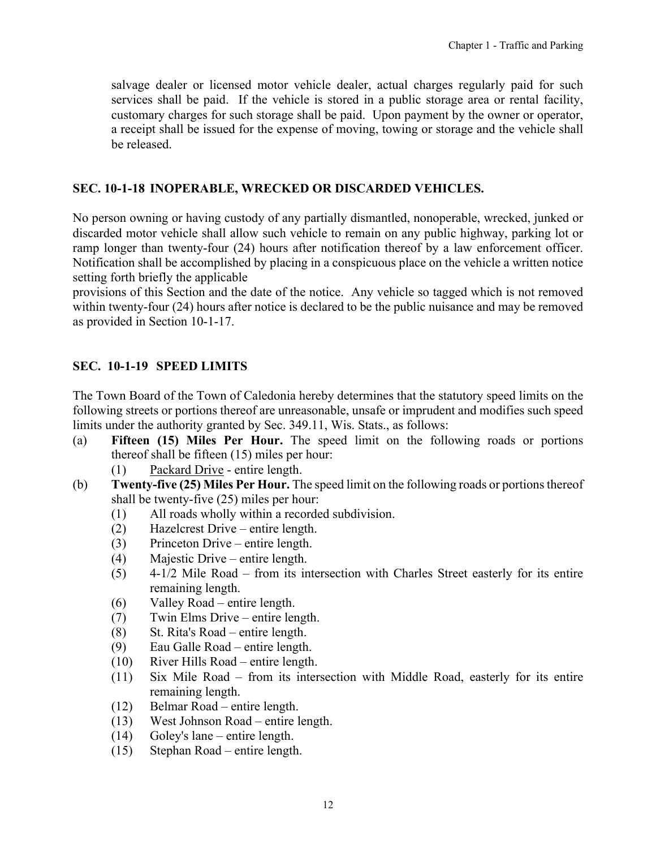<span id="page-11-0"></span>salvage dealer or licensed motor vehicle dealer, actual charges regularly paid for such services shall be paid. If the vehicle is stored in a public storage area or rental facility, customary charges for such storage shall be paid. Upon payment by the owner or operator, a receipt shall be issued for the expense of moving, towing or storage and the vehicle shall be released.

#### **SEC. 10-1-18 INOPERABLE, WRECKED OR DISCARDED VEHICLES.**

No person owning or having custody of any partially dismantled, nonoperable, wrecked, junked or discarded motor vehicle shall allow such vehicle to remain on any public highway, parking lot or ramp longer than twenty-four (24) hours after notification thereof by a law enforcement officer. Notification shall be accomplished by placing in a conspicuous place on the vehicle a written notice setting forth briefly the applicable

provisions of this Section and the date of the notice. Any vehicle so tagged which is not removed within twenty-four (24) hours after notice is declared to be the public nuisance and may be removed as provided in Section 10-1-17.

# **SEC. 10-1-19 SPEED LIMITS**

The Town Board of the Town of Caledonia hereby determines that the statutory speed limits on the following streets or portions thereof are unreasonable, unsafe or imprudent and modifies such speed limits under the authority granted by Sec. 349.11, Wis. Stats., as follows:

- (a) **Fifteen (15) Miles Per Hour.** The speed limit on the following roads or portions thereof shall be fifteen (15) miles per hour:
	- (1) Packard Drive entire length.
- (b) **Twenty-five (25) Miles Per Hour.** The speed limit on the following roads or portions thereof shall be twenty-five (25) miles per hour:
	- (1) All roads wholly within a recorded subdivision.
	- (2) Hazelcrest Drive entire length.
	- (3) Princeton Drive entire length.
	- (4) Majestic Drive entire length.
	- (5) 4-1/2 Mile Road from its intersection with Charles Street easterly for its entire remaining length.
	- (6) Valley Road entire length.
	- (7) Twin Elms Drive entire length.
	- (8) St. Rita's Road entire length.
	- (9) Eau Galle Road entire length.
	- (10) River Hills Road entire length.
	- (11) Six Mile Road from its intersection with Middle Road, easterly for its entire remaining length.
	- (12) Belmar Road entire length.
	- (13) West Johnson Road entire length.
	- (14) Goley's lane entire length.
	- (15) Stephan Road entire length.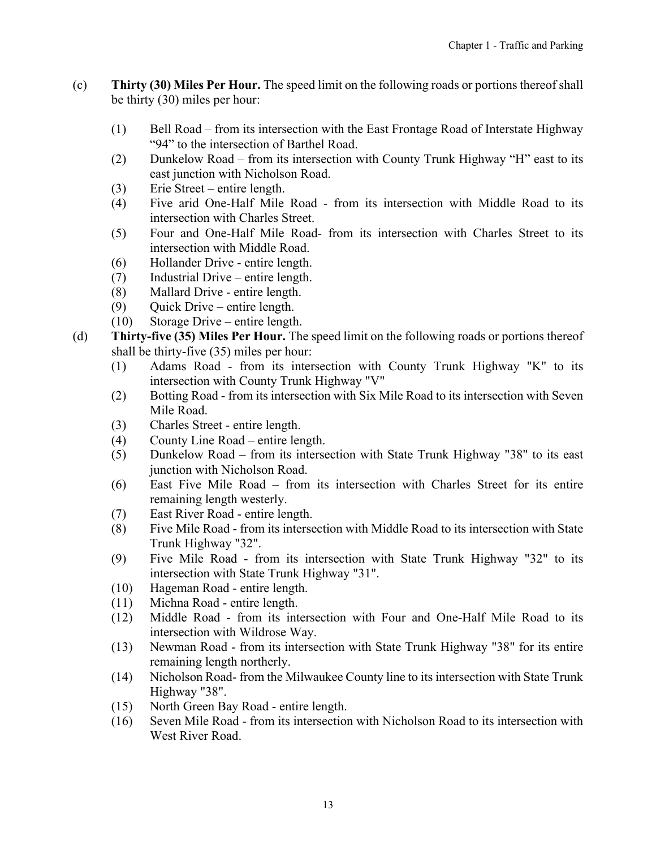- (c) **Thirty (30) Miles Per Hour.** The speed limit on the following roads or portions thereof shall be thirty (30) miles per hour:
	- (1) Bell Road from its intersection with the East Frontage Road of Interstate Highway "94" to the intersection of Barthel Road.
	- (2) Dunkelow Road from its intersection with County Trunk Highway "H" east to its east junction with Nicholson Road.
	- (3) Erie Street entire length.
	- (4) Five arid One-Half Mile Road from its intersection with Middle Road to its intersection with Charles Street.
	- (5) Four and One-Half Mile Road- from its intersection with Charles Street to its intersection with Middle Road.
	- (6) Hollander Drive entire length.
	- (7) Industrial Drive entire length.
	- (8) Mallard Drive entire length.
	- (9) Quick Drive entire length.
	- (10) Storage Drive entire length.
- (d) **Thirty-five (35) Miles Per Hour.** The speed limit on the following roads or portions thereof shall be thirty-five (35) miles per hour:
	- (1) Adams Road from its intersection with County Trunk Highway "K" to its intersection with County Trunk Highway "V"
	- (2) Botting Road from its intersection with Six Mile Road to its intersection with Seven Mile Road.
	- (3) Charles Street entire length.
	- (4) County Line Road entire length.
	- (5) Dunkelow Road from its intersection with State Trunk Highway "38" to its east junction with Nicholson Road.
	- (6) East Five Mile Road from its intersection with Charles Street for its entire remaining length westerly.
	- (7) East River Road entire length.
	- (8) Five Mile Road from its intersection with Middle Road to its intersection with State Trunk Highway "32".
	- (9) Five Mile Road from its intersection with State Trunk Highway "32" to its intersection with State Trunk Highway "31".
	- (10) Hageman Road entire length.
	- (11) Michna Road entire length.
	- (12) Middle Road from its intersection with Four and One-Half Mile Road to its intersection with Wildrose Way.
	- (13) Newman Road from its intersection with State Trunk Highway "38" for its entire remaining length northerly.
	- (14) Nicholson Road- from the Milwaukee County line to its intersection with State Trunk Highway "38".
	- (15) North Green Bay Road entire length.
	- (16) Seven Mile Road from its intersection with Nicholson Road to its intersection with West River Road.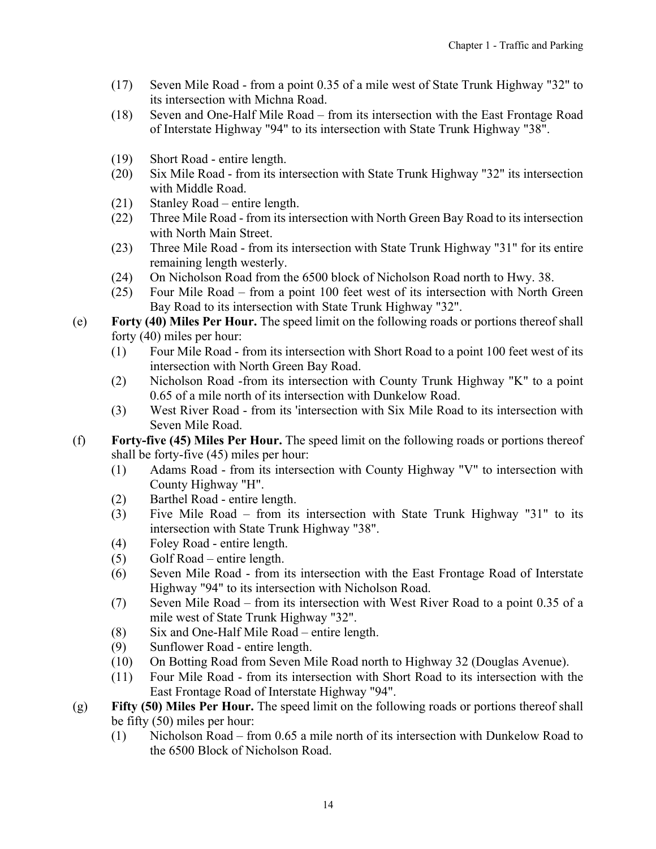- (17) Seven Mile Road from a point 0.35 of a mile west of State Trunk Highway "32" to its intersection with Michna Road.
- (18) Seven and One-Half Mile Road from its intersection with the East Frontage Road of Interstate Highway "94" to its intersection with State Trunk Highway "38".
- (19) Short Road entire length.
- (20) Six Mile Road from its intersection with State Trunk Highway "32" its intersection with Middle Road.
- (21) Stanley Road entire length.
- (22) Three Mile Road from its intersection with North Green Bay Road to its intersection with North Main Street.
- (23) Three Mile Road from its intersection with State Trunk Highway "31" for its entire remaining length westerly.
- (24) On Nicholson Road from the 6500 block of Nicholson Road north to Hwy. 38.
- (25) Four Mile Road from a point 100 feet west of its intersection with North Green Bay Road to its intersection with State Trunk Highway "32".
- (e) **Forty (40) Miles Per Hour.** The speed limit on the following roads or portions thereof shall forty (40) miles per hour:
	- (1) Four Mile Road from its intersection with Short Road to a point 100 feet west of its intersection with North Green Bay Road.
	- (2) Nicholson Road -from its intersection with County Trunk Highway "K" to a point 0.65 of a mile north of its intersection with Dunkelow Road.
	- (3) West River Road from its 'intersection with Six Mile Road to its intersection with Seven Mile Road.
- (f) **Forty-five (45) Miles Per Hour.** The speed limit on the following roads or portions thereof shall be forty-five (45) miles per hour:
	- (1) Adams Road from its intersection with County Highway "V" to intersection with County Highway "H".
	- (2) Barthel Road entire length.
	- (3) Five Mile Road from its intersection with State Trunk Highway "31" to its intersection with State Trunk Highway "38".
	- (4) Foley Road entire length.
	- (5) Golf Road entire length.
	- (6) Seven Mile Road from its intersection with the East Frontage Road of Interstate Highway "94" to its intersection with Nicholson Road.
	- (7) Seven Mile Road from its intersection with West River Road to a point 0.35 of a mile west of State Trunk Highway "32".
	- (8) Six and One-Half Mile Road entire length.
	- (9) Sunflower Road entire length.
	- (10) On Botting Road from Seven Mile Road north to Highway 32 (Douglas Avenue).
	- (11) Four Mile Road from its intersection with Short Road to its intersection with the East Frontage Road of Interstate Highway "94".
- (g) **Fifty (50) Miles Per Hour.** The speed limit on the following roads or portions thereof shall be fifty (50) miles per hour:
	- (1) Nicholson Road from 0.65 a mile north of its intersection with Dunkelow Road to the 6500 Block of Nicholson Road.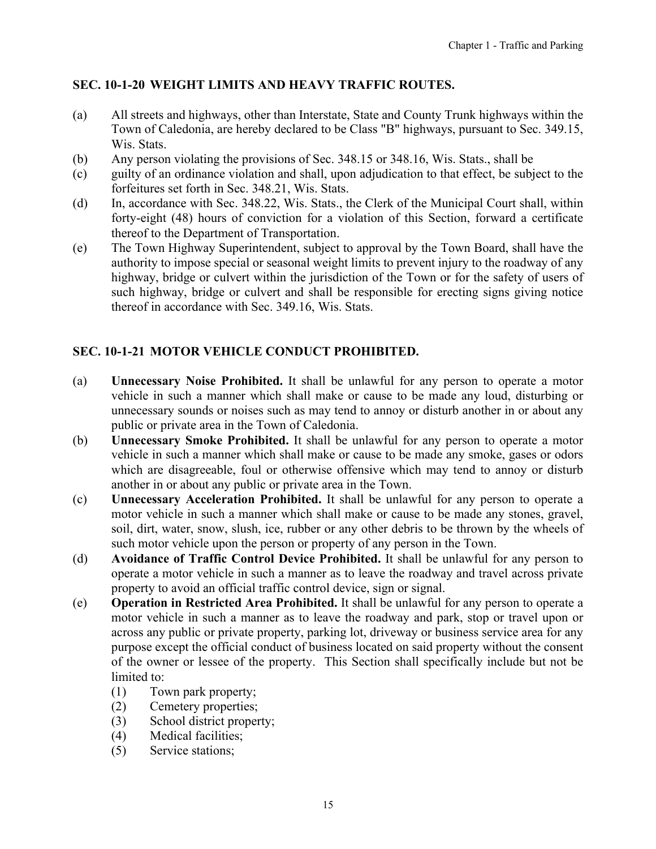# <span id="page-14-0"></span>**SEC. 10-1-20 WEIGHT LIMITS AND HEAVY TRAFFIC ROUTES.**

- (a) All streets and highways, other than Interstate, State and County Trunk highways within the Town of Caledonia, are hereby declared to be Class "B" highways, pursuant to Sec. 349.15, Wis. Stats.
- (b) Any person violating the provisions of Sec. 348.15 or 348.16, Wis. Stats., shall be
- (c) guilty of an ordinance violation and shall, upon adjudication to that effect, be subject to the forfeitures set forth in Sec. 348.21, Wis. Stats.
- (d) In, accordance with Sec. 348.22, Wis. Stats., the Clerk of the Municipal Court shall, within forty-eight (48) hours of conviction for a violation of this Section, forward a certificate thereof to the Department of Transportation.
- (e) The Town Highway Superintendent, subject to approval by the Town Board, shall have the authority to impose special or seasonal weight limits to prevent injury to the roadway of any highway, bridge or culvert within the jurisdiction of the Town or for the safety of users of such highway, bridge or culvert and shall be responsible for erecting signs giving notice thereof in accordance with Sec. 349.16, Wis. Stats.

# **SEC. 10-1-21 MOTOR VEHICLE CONDUCT PROHIBITED.**

- (a) **Unnecessary Noise Prohibited.** It shall be unlawful for any person to operate a motor vehicle in such a manner which shall make or cause to be made any loud, disturbing or unnecessary sounds or noises such as may tend to annoy or disturb another in or about any public or private area in the Town of Caledonia.
- (b) **Unnecessary Smoke Prohibited.** It shall be unlawful for any person to operate a motor vehicle in such a manner which shall make or cause to be made any smoke, gases or odors which are disagreeable, foul or otherwise offensive which may tend to annoy or disturb another in or about any public or private area in the Town.
- (c) **Unnecessary Acceleration Prohibited.** It shall be unlawful for any person to operate a motor vehicle in such a manner which shall make or cause to be made any stones, gravel, soil, dirt, water, snow, slush, ice, rubber or any other debris to be thrown by the wheels of such motor vehicle upon the person or property of any person in the Town.
- (d) **Avoidance of Traffic Control Device Prohibited.** It shall be unlawful for any person to operate a motor vehicle in such a manner as to leave the roadway and travel across private property to avoid an official traffic control device, sign or signal.
- (e) **Operation in Restricted Area Prohibited.** It shall be unlawful for any person to operate a motor vehicle in such a manner as to leave the roadway and park, stop or travel upon or across any public or private property, parking lot, driveway or business service area for any purpose except the official conduct of business located on said property without the consent of the owner or lessee of the property. This Section shall specifically include but not be limited to:
	- (1) Town park property;
	- (2) Cemetery properties;
	- (3) School district property;
	- (4) Medical facilities;
	- (5) Service stations;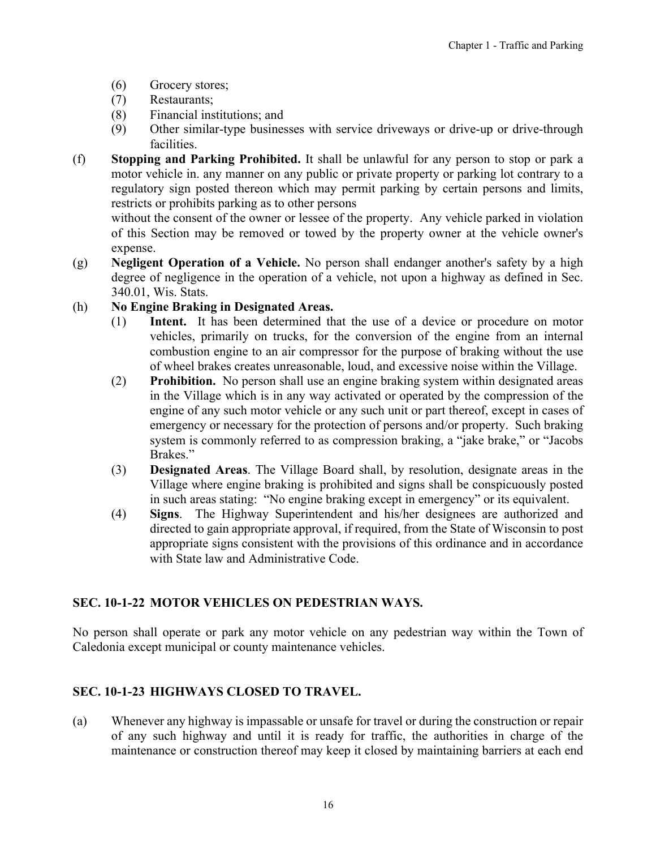- <span id="page-15-0"></span>(6) Grocery stores;
- (7) Restaurants;
- (8) Financial institutions; and
- (9) Other similar-type businesses with service driveways or drive-up or drive-through facilities.
- (f) **Stopping and Parking Prohibited.** It shall be unlawful for any person to stop or park a motor vehicle in. any manner on any public or private property or parking lot contrary to a regulatory sign posted thereon which may permit parking by certain persons and limits, restricts or prohibits parking as to other persons

without the consent of the owner or lessee of the property. Any vehicle parked in violation of this Section may be removed or towed by the property owner at the vehicle owner's expense.

- (g) **Negligent Operation of a Vehicle.** No person shall endanger another's safety by a high degree of negligence in the operation of a vehicle, not upon a highway as defined in Sec. 340.01, Wis. Stats.
- (h) **No Engine Braking in Designated Areas.**
	- (1) **Intent.** It has been determined that the use of a device or procedure on motor vehicles, primarily on trucks, for the conversion of the engine from an internal combustion engine to an air compressor for the purpose of braking without the use of wheel brakes creates unreasonable, loud, and excessive noise within the Village.
	- (2) **Prohibition.** No person shall use an engine braking system within designated areas in the Village which is in any way activated or operated by the compression of the engine of any such motor vehicle or any such unit or part thereof, except in cases of emergency or necessary for the protection of persons and/or property. Such braking system is commonly referred to as compression braking, a "jake brake," or "Jacobs Brakes."
	- (3) **Designated Areas**. The Village Board shall, by resolution, designate areas in the Village where engine braking is prohibited and signs shall be conspicuously posted in such areas stating: "No engine braking except in emergency" or its equivalent.
	- (4) **Signs**. The Highway Superintendent and his/her designees are authorized and directed to gain appropriate approval, if required, from the State of Wisconsin to post appropriate signs consistent with the provisions of this ordinance and in accordance with State law and Administrative Code.

# **SEC. 10-1-22 MOTOR VEHICLES ON PEDESTRIAN WAYS.**

No person shall operate or park any motor vehicle on any pedestrian way within the Town of Caledonia except municipal or county maintenance vehicles.

# **SEC. 10-1-23 HIGHWAYS CLOSED TO TRAVEL.**

(a) Whenever any highway is impassable or unsafe for travel or during the construction or repair of any such highway and until it is ready for traffic, the authorities in charge of the maintenance or construction thereof may keep it closed by maintaining barriers at each end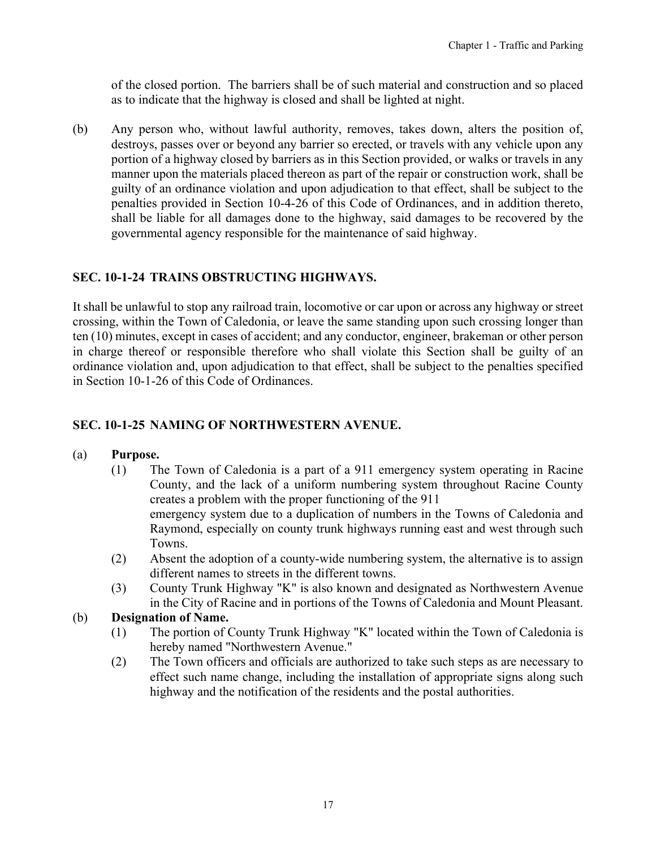<span id="page-16-0"></span>of the closed portion. The barriers shall be of such material and construction and so placed as to indicate that the highway is closed and shall be lighted at night.

(b) Any person who, without lawful authority, removes, takes down, alters the position of, destroys, passes over or beyond any barrier so erected, or travels with any vehicle upon any portion of a highway closed by barriers as in this Section provided, or walks or travels in any manner upon the materials placed thereon as part of the repair or construction work, shall be guilty of an ordinance violation and upon adjudication to that effect, shall be subject to the penalties provided in Section 10-4-26 of this Code of Ordinances, and in addition thereto, shall be liable for all damages done to the highway, said damages to be recovered by the governmental agency responsible for the maintenance of said highway.

# **SEC. 10-1-24 TRAINS OBSTRUCTING HIGHWAYS.**

It shall be unlawful to stop any railroad train, locomotive or car upon or across any highway or street crossing, within the Town of Caledonia, or leave the same standing upon such crossing longer than ten (10) minutes, except in cases of accident; and any conductor, engineer, brakeman or other person in charge thereof or responsible therefore who shall violate this Section shall be guilty of an ordinance violation and, upon adjudication to that effect, shall be subject to the penalties specified in Section 10-1-26 of this Code of Ordinances.

#### **SEC. 10-1-25 NAMING OF NORTHWESTERN AVENUE.**

#### (a) **Purpose.**

- (1) The Town of Caledonia is a part of a 911 emergency system operating in Racine County, and the lack of a uniform numbering system throughout Racine County creates a problem with the proper functioning of the 911 emergency system due to a duplication of numbers in the Towns of Caledonia and Raymond, especially on county trunk highways running east and west through such Towns.
- (2) Absent the adoption of a county-wide numbering system, the alternative is to assign different names to streets in the different towns.
- (3) County Trunk Highway "K" is also known and designated as Northwestern Avenue in the City of Racine and in portions of the Towns of Caledonia and Mount Pleasant.

#### (b) **Designation of Name.**

- (1) The portion of County Trunk Highway "K" located within the Town of Caledonia is hereby named "Northwestern Avenue."
- (2) The Town officers and officials are authorized to take such steps as are necessary to effect such name change, including the installation of appropriate signs along such highway and the notification of the residents and the postal authorities.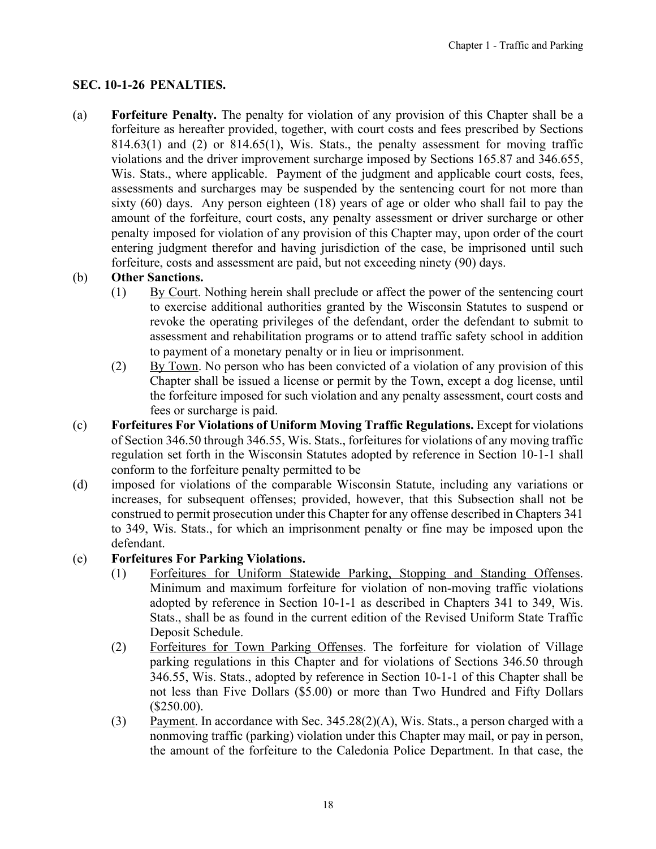# <span id="page-17-0"></span>**SEC. 10-1-26 PENALTIES.**

(a) **Forfeiture Penalty.** The penalty for violation of any provision of this Chapter shall be a forfeiture as hereafter provided, together, with court costs and fees prescribed by Sections  $814.63(1)$  and  $(2)$  or  $814.65(1)$ , Wis. Stats., the penalty assessment for moving traffic violations and the driver improvement surcharge imposed by Sections 165.87 and 346.655, Wis. Stats., where applicable. Payment of the judgment and applicable court costs, fees, assessments and surcharges may be suspended by the sentencing court for not more than sixty (60) days. Any person eighteen (18) years of age or older who shall fail to pay the amount of the forfeiture, court costs, any penalty assessment or driver surcharge or other penalty imposed for violation of any provision of this Chapter may, upon order of the court entering judgment therefor and having jurisdiction of the case, be imprisoned until such forfeiture, costs and assessment are paid, but not exceeding ninety (90) days.

#### (b) **Other Sanctions.**

- (1) By Court. Nothing herein shall preclude or affect the power of the sentencing court to exercise additional authorities granted by the Wisconsin Statutes to suspend or revoke the operating privileges of the defendant, order the defendant to submit to assessment and rehabilitation programs or to attend traffic safety school in addition to payment of a monetary penalty or in lieu or imprisonment.
- (2) By Town. No person who has been convicted of a violation of any provision of this Chapter shall be issued a license or permit by the Town, except a dog license, until the forfeiture imposed for such violation and any penalty assessment, court costs and fees or surcharge is paid.
- (c) **Forfeitures For Violations of Uniform Moving Traffic Regulations.** Except for violations of Section 346.50 through 346.55, Wis. Stats., forfeitures for violations of any moving traffic regulation set forth in the Wisconsin Statutes adopted by reference in Section 10-1-1 shall conform to the forfeiture penalty permitted to be
- (d) imposed for violations of the comparable Wisconsin Statute, including any variations or increases, for subsequent offenses; provided, however, that this Subsection shall not be construed to permit prosecution under this Chapter for any offense described in Chapters 341 to 349, Wis. Stats., for which an imprisonment penalty or fine may be imposed upon the defendant.

#### (e) **Forfeitures For Parking Violations.**

- (1) Forfeitures for Uniform Statewide Parking, Stopping and Standing Offenses. Minimum and maximum forfeiture for violation of non-moving traffic violations adopted by reference in Section 10-1-1 as described in Chapters 341 to 349, Wis. Stats., shall be as found in the current edition of the Revised Uniform State Traffic Deposit Schedule.
- (2) Forfeitures for Town Parking Offenses. The forfeiture for violation of Village parking regulations in this Chapter and for violations of Sections 346.50 through 346.55, Wis. Stats., adopted by reference in Section 10-1-1 of this Chapter shall be not less than Five Dollars (\$5.00) or more than Two Hundred and Fifty Dollars (\$250.00).
- (3) Payment. In accordance with Sec. 345.28(2)(A), Wis. Stats., a person charged with a nonmoving traffic (parking) violation under this Chapter may mail, or pay in person, the amount of the forfeiture to the Caledonia Police Department. In that case, the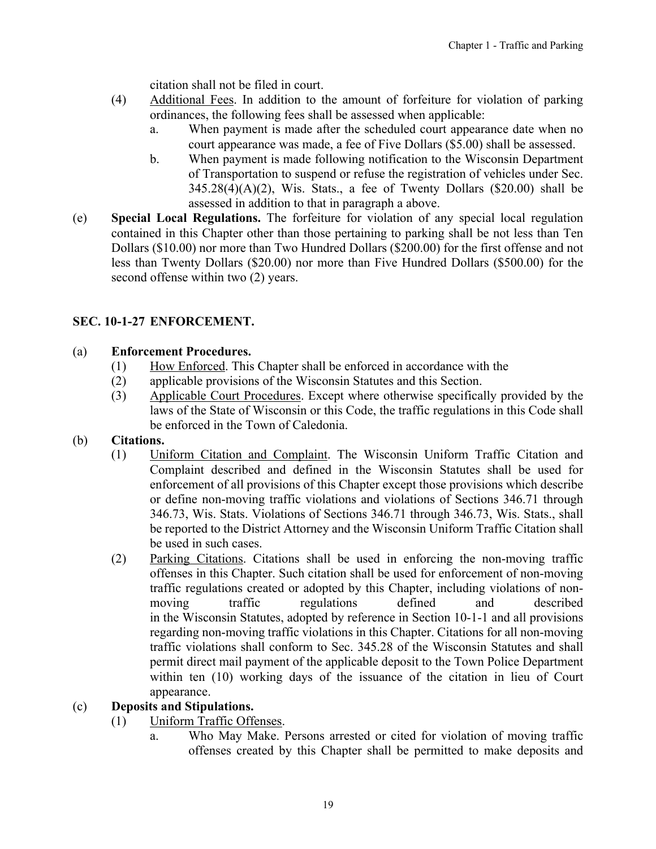citation shall not be filed in court.

- <span id="page-18-0"></span>(4) Additional Fees. In addition to the amount of forfeiture for violation of parking ordinances, the following fees shall be assessed when applicable:
	- a. When payment is made after the scheduled court appearance date when no court appearance was made, a fee of Five Dollars (\$5.00) shall be assessed.
	- b. When payment is made following notification to the Wisconsin Department of Transportation to suspend or refuse the registration of vehicles under Sec.  $345.28(4)(A)(2)$ , Wis. Stats., a fee of Twenty Dollars (\$20.00) shall be assessed in addition to that in paragraph a above.
- (e) **Special Local Regulations.** The forfeiture for violation of any special local regulation contained in this Chapter other than those pertaining to parking shall be not less than Ten Dollars (\$10.00) nor more than Two Hundred Dollars (\$200.00) for the first offense and not less than Twenty Dollars (\$20.00) nor more than Five Hundred Dollars (\$500.00) for the second offense within two  $(2)$  years.

# **SEC. 10-1-27 ENFORCEMENT.**

#### (a) **Enforcement Procedures.**

- (1) How Enforced. This Chapter shall be enforced in accordance with the
- (2) applicable provisions of the Wisconsin Statutes and this Section.
- (3) Applicable Court Procedures. Except where otherwise specifically provided by the laws of the State of Wisconsin or this Code, the traffic regulations in this Code shall be enforced in the Town of Caledonia.

#### (b) **Citations.**

- (1) Uniform Citation and Complaint. The Wisconsin Uniform Traffic Citation and Complaint described and defined in the Wisconsin Statutes shall be used for enforcement of all provisions of this Chapter except those provisions which describe or define non-moving traffic violations and violations of Sections 346.71 through 346.73, Wis. Stats. Violations of Sections 346.71 through 346.73, Wis. Stats., shall be reported to the District Attorney and the Wisconsin Uniform Traffic Citation shall be used in such cases.
- (2) Parking Citations. Citations shall be used in enforcing the non-moving traffic offenses in this Chapter. Such citation shall be used for enforcement of non-moving traffic regulations created or adopted by this Chapter, including violations of nonmoving traffic regulations defined and described in the Wisconsin Statutes, adopted by reference in Section 10-1-1 and all provisions regarding non-moving traffic violations in this Chapter. Citations for all non-moving traffic violations shall conform to Sec. 345.28 of the Wisconsin Statutes and shall permit direct mail payment of the applicable deposit to the Town Police Department within ten (10) working days of the issuance of the citation in lieu of Court appearance.

#### (c) **Deposits and Stipulations.**

- (1) Uniform Traffic Offenses.
	- a. Who May Make. Persons arrested or cited for violation of moving traffic offenses created by this Chapter shall be permitted to make deposits and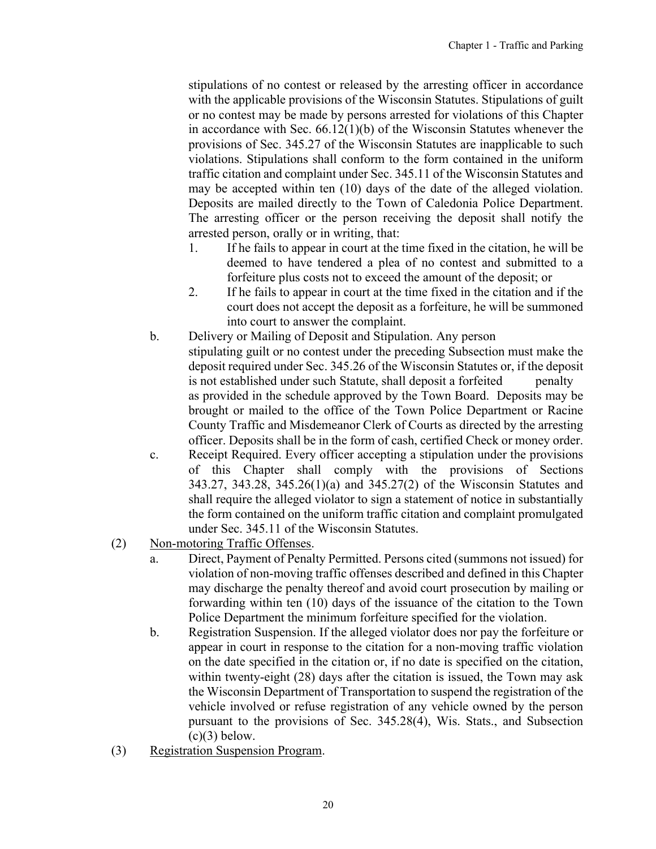stipulations of no contest or released by the arresting officer in accordance with the applicable provisions of the Wisconsin Statutes. Stipulations of guilt or no contest may be made by persons arrested for violations of this Chapter in accordance with Sec. 66.12(1)(b) of the Wisconsin Statutes whenever the provisions of Sec. 345.27 of the Wisconsin Statutes are inapplicable to such violations. Stipulations shall conform to the form contained in the uniform traffic citation and complaint under Sec. 345.11 of the Wisconsin Statutes and may be accepted within ten (10) days of the date of the alleged violation. Deposits are mailed directly to the Town of Caledonia Police Department. The arresting officer or the person receiving the deposit shall notify the arrested person, orally or in writing, that:

- 1. If he fails to appear in court at the time fixed in the citation, he will be deemed to have tendered a plea of no contest and submitted to a forfeiture plus costs not to exceed the amount of the deposit; or
- 2. If he fails to appear in court at the time fixed in the citation and if the court does not accept the deposit as a forfeiture, he will be summoned into court to answer the complaint.
- b. Delivery or Mailing of Deposit and Stipulation. Any person stipulating guilt or no contest under the preceding Subsection must make the deposit required under Sec. 345.26 of the Wisconsin Statutes or, if the deposit is not established under such Statute, shall deposit a forfeited penalty as provided in the schedule approved by the Town Board. Deposits may be brought or mailed to the office of the Town Police Department or Racine County Traffic and Misdemeanor Clerk of Courts as directed by the arresting officer. Deposits shall be in the form of cash, certified Check or money order.
- c. Receipt Required. Every officer accepting a stipulation under the provisions of this Chapter shall comply with the provisions of Sections 343.27, 343.28, 345.26(1)(a) and 345.27(2) of the Wisconsin Statutes and shall require the alleged violator to sign a statement of notice in substantially the form contained on the uniform traffic citation and complaint promulgated under Sec. 345.11 of the Wisconsin Statutes.
- (2) Non-motoring Traffic Offenses.
	- a. Direct, Payment of Penalty Permitted. Persons cited (summons not issued) for violation of non-moving traffic offenses described and defined in this Chapter may discharge the penalty thereof and avoid court prosecution by mailing or forwarding within ten (10) days of the issuance of the citation to the Town Police Department the minimum forfeiture specified for the violation.
	- b. Registration Suspension. If the alleged violator does nor pay the forfeiture or appear in court in response to the citation for a non-moving traffic violation on the date specified in the citation or, if no date is specified on the citation, within twenty-eight (28) days after the citation is issued, the Town may ask the Wisconsin Department of Transportation to suspend the registration of the vehicle involved or refuse registration of any vehicle owned by the person pursuant to the provisions of Sec. 345.28(4), Wis. Stats., and Subsection  $(c)(3)$  below.
- (3) Registration Suspension Program.